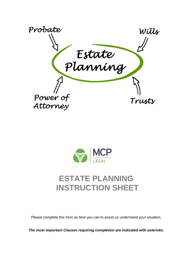



# **ESTATE PLANNING INSTRUCTION SHEET**

Please complete this form as best you can to assist us understand your situation.

*The most important Clauses requiring completion are indicated with asterisks.*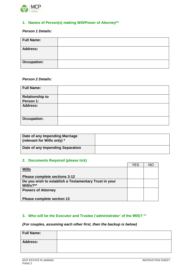

### **1. Names of Person(s) making Will/Power of Attorney\*\***

### *Person 1 Details:*

| <b>Full Name:</b> |  |
|-------------------|--|
| <b>Address:</b>   |  |
| Occupation:       |  |

#### *Person 2 Details:*

| <b>Full Name:</b>      |  |
|------------------------|--|
| <b>Relationship to</b> |  |
| Person 1:              |  |
| <b>Address:</b>        |  |
| <b>Occupation:</b>     |  |

| Date of any Impending Marriage<br>(relevant for Wills only) * |  |
|---------------------------------------------------------------|--|
| Date of any Impending Separation                              |  |

#### **2. Documents Required (please tick)**

|                                                       | YFS | NC |
|-------------------------------------------------------|-----|----|
| <b>Wills</b>                                          |     |    |
|                                                       |     |    |
| Please complete sections 3-12                         |     |    |
| Do you wish to establish a Testamentary Trust in your |     |    |
| Will/s? $**$                                          |     |    |
| <b>Powers of Attorney</b>                             |     |    |
|                                                       |     |    |
| <b>Please complete section 13</b>                     |     |    |

## **3. Who will be the Executor and Trustee ('administrator' of the Will)? \*\***

#### *(For couples, assuming each other first, then the backup is below)*

| <b>Full Name:</b> |  |
|-------------------|--|
| <b>Address:</b>   |  |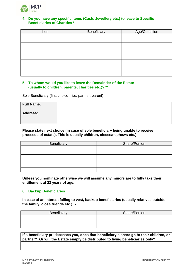

#### **4. Do you have any specific Items (Cash, Jewellery etc.) to leave to Specific Beneficiaries of Charities?**

| Item | Beneficiary | Age/Condition |
|------|-------------|---------------|
|      |             |               |
|      |             |               |
|      |             |               |
|      |             |               |
|      |             |               |
|      |             |               |
|      |             |               |
|      |             |               |
|      |             |               |
|      |             |               |

#### **5. To whom would you like to leave the Remainder of the Estate (usually to children, parents, charities etc.)? \*\***

Sole Beneficiary (first choice – i.e. partner, parent)

| <b>Full Name:</b> |  |
|-------------------|--|
| <b>Address:</b>   |  |

#### **Please state next choice (in case of sole beneficiary being unable to receive proceeds of estate). This is usually children, nieces/nephews etc.):**

| Beneficiary | Share/Portion |
|-------------|---------------|
|             |               |
|             |               |
|             |               |
|             |               |
|             |               |
|             |               |

**Unless you nominate otherwise we will assume any minors are to fully take their entitlement at 23 years of age.** 

#### **6. Backup Beneficiaries**

**In case of an interest failing to vest, backup beneficiaries (usually relatives outside the family, close friends etc.): -**

| Beneficiary | Share/Portion |
|-------------|---------------|
|             |               |
|             |               |
|             |               |

**If a beneficiary predeceases you, does that beneficiary's share go to their children, or partner? Or will the Estate simply be distributed to living beneficiaries only?**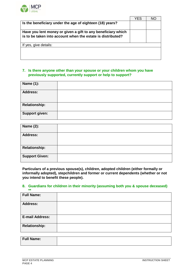

|                                                                                                                             | YES | NС |
|-----------------------------------------------------------------------------------------------------------------------------|-----|----|
| Is the beneficiary under the age of eighteen (18) years?                                                                    |     |    |
| Have you lent money or given a gift to any beneficiary which<br>is to be taken into account when the estate is distributed? |     |    |
| If yes, give details:                                                                                                       |     |    |
|                                                                                                                             |     |    |

#### **7. Is there anyone other than your spouse or your children whom you have previously supported, currently support or help to support?**

| <b>Name (1):</b>      |  |
|-----------------------|--|
| <b>Address:</b>       |  |
| <b>Relationship:</b>  |  |
| <b>Support given:</b> |  |

| <b>Name (2):</b>      |  |
|-----------------------|--|
| <b>Address:</b>       |  |
| <b>Relationship:</b>  |  |
| <b>Support Given:</b> |  |

**Particulars of a previous spouse(s), children, adopted children (either formally or informally adopted), stepchildren and former or current dependents (whether or not you intend to benefit these people).**

#### **8. Guardians for children in their minority (assuming both you & spouse deceased) \*\***

| <b>Full Name:</b>      |  |
|------------------------|--|
| <b>Address:</b>        |  |
| <b>E-mail Address:</b> |  |
| <b>Relationship:</b>   |  |

| <b>Full Name:</b> |  |
|-------------------|--|
|                   |  |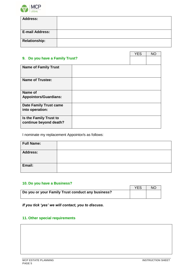

| <b>Address:</b>        |  |
|------------------------|--|
|                        |  |
|                        |  |
| <b>E-mail Address:</b> |  |
|                        |  |
| <b>Relationship:</b>   |  |

|                                                  |  | <b>YES</b> | <b>NO</b> |
|--------------------------------------------------|--|------------|-----------|
| 9. Do you have a Family Trust?                   |  |            |           |
| <b>Name of Family Trust</b>                      |  |            |           |
| <b>Name of Trustee:</b>                          |  |            |           |
| Name of<br><b>Appointors/Guardians:</b>          |  |            |           |
| <b>Date Family Trust came</b><br>into operation: |  |            |           |
| Is the Family Trust to<br>continue beyond death? |  |            |           |

I nominate my replacement Appointor/s as follows:

| <b>Full Name:</b> |  |
|-------------------|--|
| <b>Address:</b>   |  |
| Email:            |  |

# **10. Do you have a Business?**

|                                                   | YES | <b>NC</b> |
|---------------------------------------------------|-----|-----------|
| Do you or your Family Trust conduct any business? |     |           |
|                                                   |     |           |

*If you tick 'yes' we will contact, you to discuss.*

# **11. Other special requirements**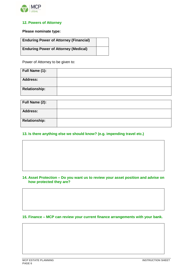

### **12. Powers of Attorney**

**Please nominate type:**

| <b>Enduring Power of Attorney (Financial)</b> |  |
|-----------------------------------------------|--|
| <b>Enduring Power of Attorney (Medical)</b>   |  |

Power of Attorney to be given to:

| Full Name (1):       |  |
|----------------------|--|
| <b>Address:</b>      |  |
| <b>Relationship:</b> |  |

| Full Name (2):       |  |
|----------------------|--|
| <b>Address:</b>      |  |
| <b>Relationship:</b> |  |

#### **13. Is there anything else we should know? (e.g. impending travel etc.)**

#### **14. Asset Protection – Do you want us to review your asset position and advise on how protected they are?**

**15. Finance – MCP can review your current finance arrangements with your bank.**